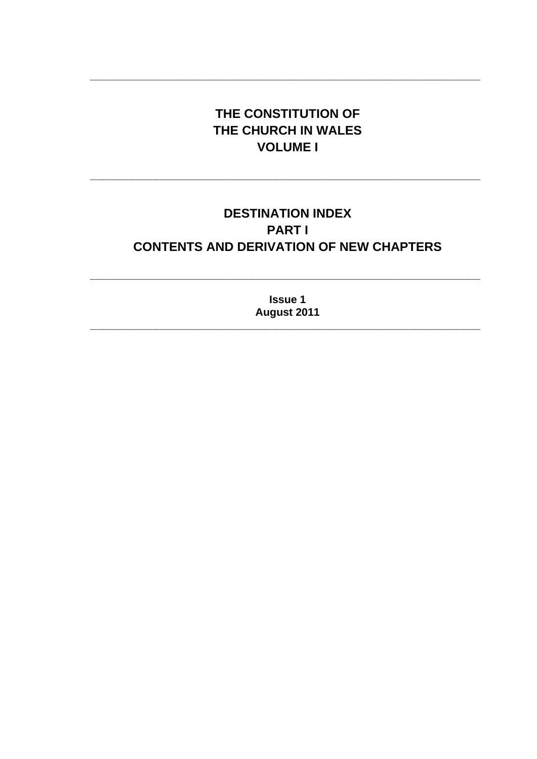# THE CONSTITUTION OF THE CHURCH IN WALES **VOLUME I**

# **DESTINATION INDEX PARTI CONTENTS AND DERIVATION OF NEW CHAPTERS**

**Issue 1** August 2011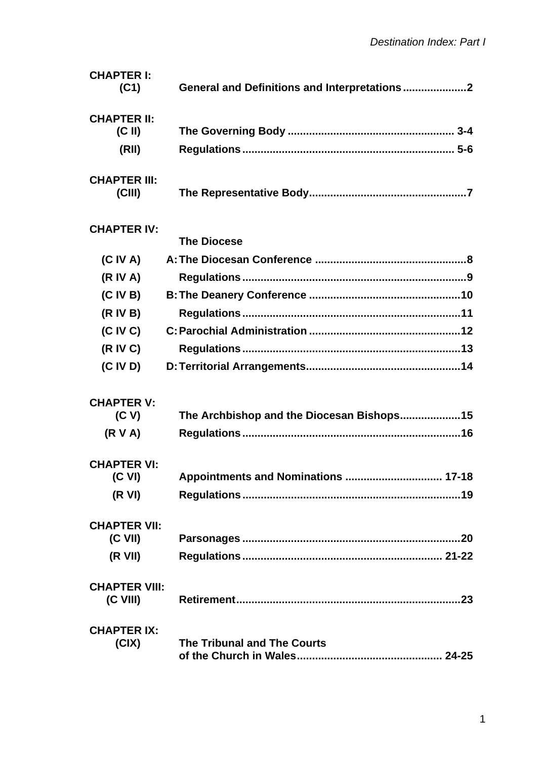| <b>CHAPTER I:</b><br>(C1)        |                                           |
|----------------------------------|-------------------------------------------|
|                                  |                                           |
| <b>CHAPTER II:</b>               |                                           |
| $(C \parallel)$                  |                                           |
| (RII)                            |                                           |
| <b>CHAPTER III:</b><br>(CIII)    |                                           |
| <b>CHAPTER IV:</b>               |                                           |
|                                  | <b>The Diocese</b>                        |
| (C IV A)                         |                                           |
| (R IV A)                         |                                           |
| (C IV B)                         |                                           |
| (R IV B)                         |                                           |
| (C IV C)                         |                                           |
| (R IV C)                         |                                           |
| (C IV D)                         |                                           |
| <b>CHAPTER V:</b>                |                                           |
| (C V)                            | The Archbishop and the Diocesan Bishops15 |
| (R V A)                          |                                           |
| <b>CHAPTER VI:</b>               |                                           |
| (C VI)                           | Appointments and Nominations  17-18       |
| (R VI)                           |                                           |
| <b>CHAPTER VII:</b><br>$(C$ VII) |                                           |
| (R VII)                          |                                           |
| <b>CHAPTER VIII:</b>             |                                           |
| (C VIII)                         |                                           |
| <b>CHAPTER IX:</b>               |                                           |
| (CIX)                            | <b>The Tribunal and The Courts</b>        |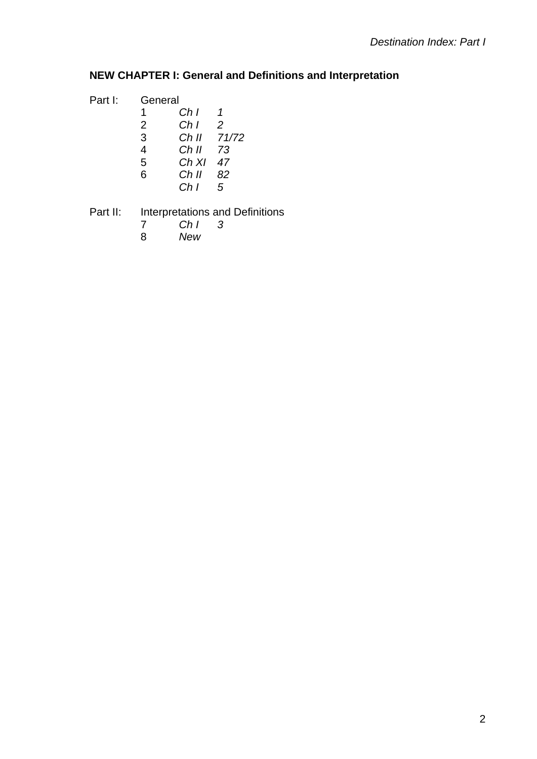### **NEW CHAPTER I: General and Definitions and Interpretation**

| Part I: | General |       |                |
|---------|---------|-------|----------------|
|         | 1       | Ch I  | 1              |
|         | 2       | Ch I  | $\overline{2}$ |
|         | 3       | Ch II | 71/72          |
|         | 4       | Ch II | 73             |
|         | 5       | Ch XI | 47             |
|         | 6       | Ch II | 82             |
|         |         | Ch I  | 5              |
|         |         |       |                |

# Part II: Interpretations and Definitions<br>7 Ch I 3

- *Ch I 3*
- *New*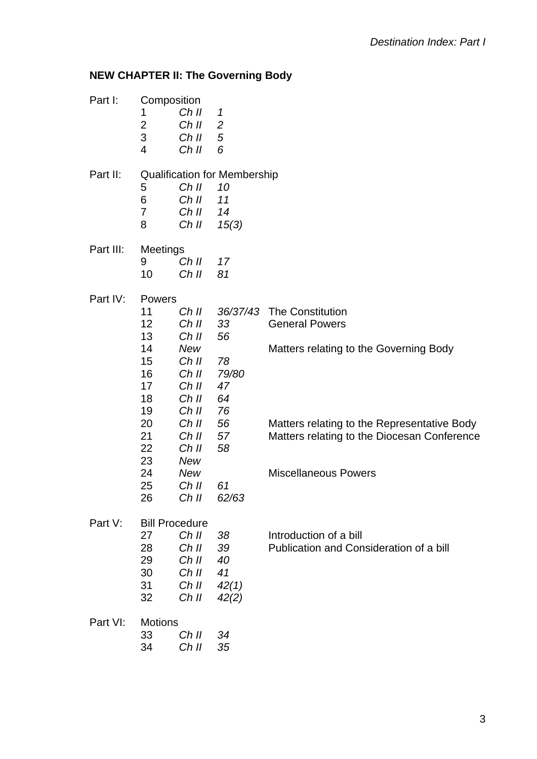# **NEW CHAPTER II: The Governing Body**

| Part I:   | Composition<br>1<br>$\overline{2}$<br>3<br>4                                                           | Ch II<br>Ch II<br>Ch II<br>Ch II                                                                                                              | 1<br>$\overline{2}$<br>5<br>6                                                          |                                                                                                                                                                                                                         |
|-----------|--------------------------------------------------------------------------------------------------------|-----------------------------------------------------------------------------------------------------------------------------------------------|----------------------------------------------------------------------------------------|-------------------------------------------------------------------------------------------------------------------------------------------------------------------------------------------------------------------------|
| Part II:  | 5<br>6<br>7<br>8                                                                                       | Ch II<br>Ch II<br>Ch II<br>Ch II                                                                                                              | <b>Qualification for Membership</b><br>10<br>11<br>14<br>15(3)                         |                                                                                                                                                                                                                         |
| Part III: | Meetings<br>9<br>10                                                                                    | Ch II<br>Ch II                                                                                                                                | 17<br>81                                                                               |                                                                                                                                                                                                                         |
| Part IV:  | Powers<br>11<br>12<br>13<br>14<br>15<br>16<br>17<br>18<br>19<br>20<br>21<br>22<br>23<br>24<br>25<br>26 | Ch II<br>Ch II<br>Ch II<br><b>New</b><br>Ch II<br>Ch II<br>Ch II<br>Ch II<br>Ch II<br>Ch II<br>Ch II<br>Ch II<br>New<br>New<br>Ch II<br>Ch II | 36/37/43<br>33<br>56<br>78<br>79/80<br>47<br>64<br>76<br>56<br>57<br>58<br>61<br>62/63 | <b>The Constitution</b><br><b>General Powers</b><br>Matters relating to the Governing Body<br>Matters relating to the Representative Body<br>Matters relating to the Diocesan Conference<br><b>Miscellaneous Powers</b> |
| Part V:   | <b>Bill Procedure</b><br>27<br>28<br>29<br>30<br>31<br>32                                              | Ch II<br>Ch II<br>Ch II<br>Ch II<br>Ch II<br>Ch II                                                                                            | 38<br>39<br>40<br>41<br>42(1)<br>42(2)                                                 | Introduction of a bill<br>Publication and Consideration of a bill                                                                                                                                                       |
| Part VI:  | <b>Motions</b><br>33<br>34                                                                             | Ch II<br>Ch II                                                                                                                                | 34<br>35                                                                               |                                                                                                                                                                                                                         |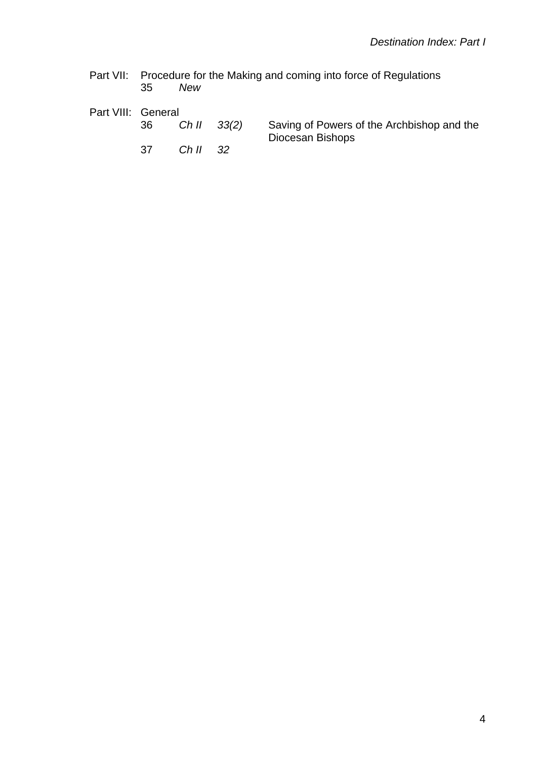Part VII: Procedure for the Making and coming into force of Regulations 35 *New* 

| Part VIII: General |     |           |                                                                            |
|--------------------|-----|-----------|----------------------------------------------------------------------------|
|                    | 36  |           | Ch II 33(2) Saving of Powers of the Archbishop and the<br>Diocesan Bishops |
|                    | .37 | $ChII$ 32 |                                                                            |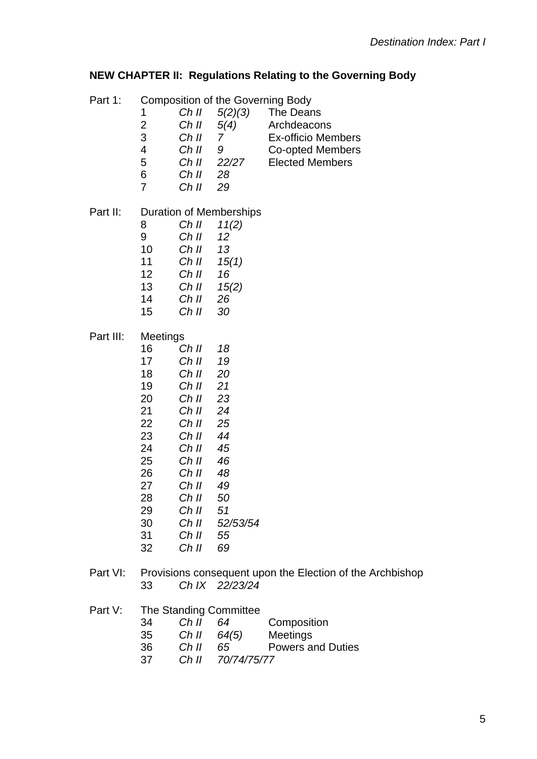### **NEW CHAPTER II: Regulations Relating to the Governing Body**

| Part 1:   | 1<br>$\overline{2}$<br>3<br>$\overline{\mathbf{4}}$<br>5<br>6<br>7                                             | Ch II<br>Ch II<br>Ch II<br>Ch II<br>Ch II<br>Ch II<br>Ch II                                                                                           | 5(2)(3)<br>5(4)<br>$\overline{7}$<br>9<br>22/27<br>28<br>29                                              | <b>Composition of the Governing Body</b><br>The Deans<br>Archdeacons<br><b>Ex-officio Members</b><br>Co-opted Members<br><b>Elected Members</b> |
|-----------|----------------------------------------------------------------------------------------------------------------|-------------------------------------------------------------------------------------------------------------------------------------------------------|----------------------------------------------------------------------------------------------------------|-------------------------------------------------------------------------------------------------------------------------------------------------|
| Part II:  | 8<br>9<br>10<br>11<br>12<br>13<br>14<br>15                                                                     | Ch II<br>Ch II<br>Ch II<br>Ch II<br>Ch II<br>Ch II<br>Ch II<br>Ch II                                                                                  | <b>Duration of Memberships</b><br>11(2)<br>12<br>13<br>15(1)<br>16<br>15(2)<br>26<br>30                  |                                                                                                                                                 |
| Part III: | Meetings<br>16<br>17<br>18<br>19<br>20<br>21<br>22<br>23<br>24<br>25<br>26<br>27<br>28<br>29<br>30<br>31<br>32 | Ch II<br>Ch II<br>Ch II<br>Ch II<br>Ch II<br>Ch II<br>Ch II<br>Ch II<br>Ch II<br>Ch II<br>Ch II<br>Ch II<br>Ch II<br>Ch II<br>Ch II<br>Ch II<br>Ch II | 18<br>19<br>20<br>21<br>23<br>24<br>25<br>44<br>45<br>46<br>48<br>49<br>50<br>51<br>52/53/54<br>55<br>69 |                                                                                                                                                 |
| Part VI:  | 33                                                                                                             |                                                                                                                                                       | Ch IX 22/23/24                                                                                           | Provisions consequent upon the Election of the Archbishop                                                                                       |

 *Ch IX 22/23/24* 

Part V: The Standing Committee

| 34 | Ch II | -64 | Composition |
|----|-------|-----|-------------|
|----|-------|-----|-------------|

- *Ch II 64(5)* Meetings
- *Ch II 65* Powers and Duties
- *Ch II 70/74/75/77*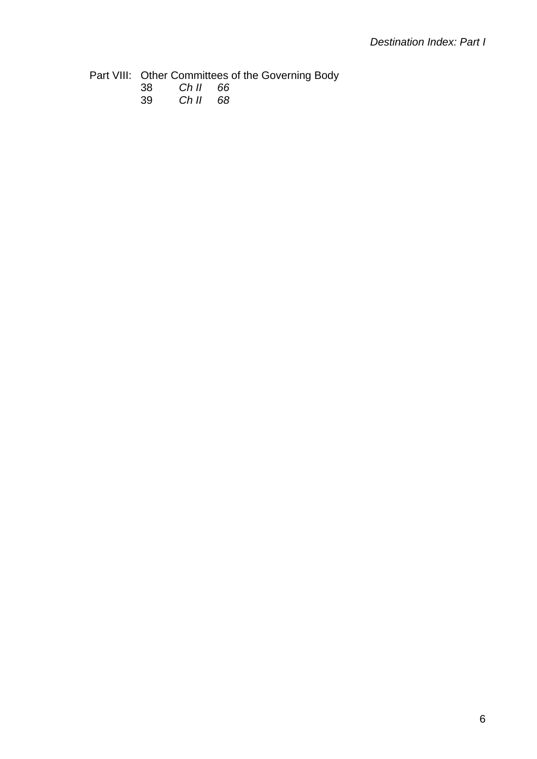Part VIII: Other Committees of the Governing Body

39 *Ch II 68*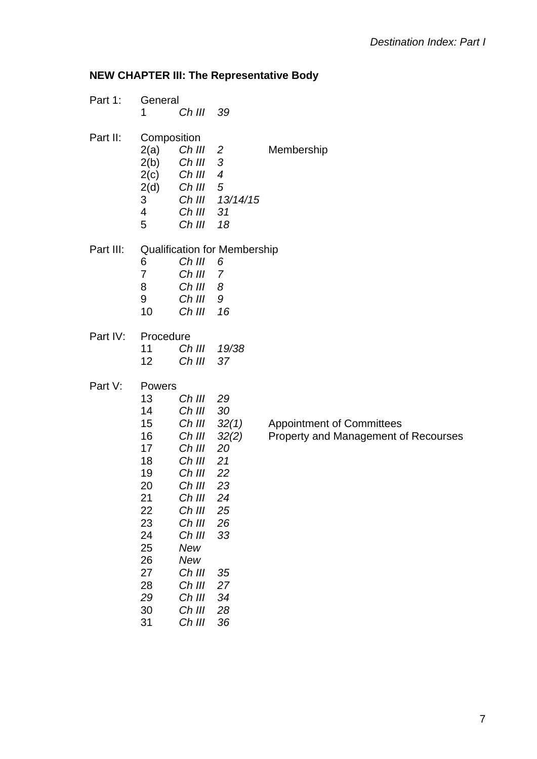## **NEW CHAPTER III: The Representative Body**

| Part 1:   | General     |           |                                     |                |
|-----------|-------------|-----------|-------------------------------------|----------------|
|           | 1           | Ch III    | 39                                  |                |
| Part II:  | Composition |           |                                     |                |
|           | 2(a)        | $Ch$ III  | 2                                   | Membership     |
|           | 2(b)        | Ch III    | 3                                   |                |
|           | 2(c)        | Ch III 4  |                                     |                |
|           | 2(d)        | Ch III 5  |                                     |                |
|           | 3           |           | Ch III 13/14/15                     |                |
|           | 4           | Ch III    | 31                                  |                |
|           | 5           | Ch III 18 |                                     |                |
| Part III: |             |           | <b>Qualification for Membership</b> |                |
|           | 6           | Ch III 6  |                                     |                |
|           | 7           | Ch III 7  |                                     |                |
|           | 8           | Ch III 8  |                                     |                |
|           | 9           | Ch III 9  |                                     |                |
|           | 10          | $Ch$ III  | 16                                  |                |
| Part IV:  | Procedure   |           |                                     |                |
|           | 11          |           | Ch III 19/38                        |                |
|           | 12          | $Ch$ III  | 37                                  |                |
| Part V:   | Powers      |           |                                     |                |
|           | 13          | Ch III    | 29                                  |                |
|           | 14          | Ch III    | 30                                  |                |
|           | 15          |           | Ch III 32(1)                        | Appointment o  |
|           | 16          |           | Ch III 32(2)                        | Property and M |
|           | 17          | Ch III 20 |                                     |                |
|           | 18          | Ch III 21 |                                     |                |
|           | 19          | Ch III 22 |                                     |                |
|           | 20          | Ch III    | 23                                  |                |
|           | 21          | Ch III    | 24                                  |                |
|           | 22          | Ch III    | 25                                  |                |
|           | 23          | Ch III    | 26                                  |                |
|           | 24          | Ch III    | 33                                  |                |
|           | 25          | New       |                                     |                |
|           | 26          | New       |                                     |                |
|           | 27          | Ch III    | 35                                  |                |
|           | 28          | Ch III    | 27                                  |                |
|           | 29          | Ch III    | 34                                  |                |
|           | 30          | Ch III    | 28                                  |                |
|           | 31          | Ch III    | 36                                  |                |

 Committees **Management of Recourses**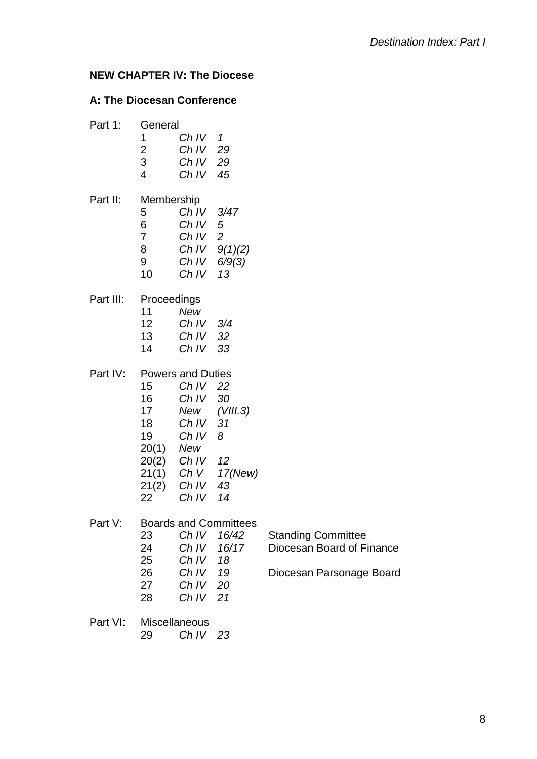### **NEW CHAPTER IV: The Diocese**

### **A: The Diocesan Conference**

| Part 1:   | General<br>1                              | Ch IV 1                  |                              |                           |
|-----------|-------------------------------------------|--------------------------|------------------------------|---------------------------|
|           | $\overline{c}$                            | Ch IV 29                 |                              |                           |
|           | $\overline{3}$<br>$\overline{\mathbf{4}}$ | Ch IV 29                 |                              |                           |
|           |                                           | Ch IV $45$               |                              |                           |
| Part II:  | Membership                                |                          |                              |                           |
|           | 5                                         | Ch IV 3/47               |                              |                           |
|           | 6 <sup>1</sup><br>7 <sup>7</sup>          | Ch $IV$ 5<br>Ch IV 2     |                              |                           |
|           | 8                                         |                          | Ch $IV$ $9(1)(2)$            |                           |
|           | 9                                         |                          | Ch IV $6/9(3)$               |                           |
|           | 10                                        | Ch IV                    | 13                           |                           |
|           |                                           |                          |                              |                           |
| Part III: | Proceedings                               |                          |                              |                           |
|           | 11                                        | <b>New</b>               |                              |                           |
|           | 12                                        | Ch IV $3/4$              |                              |                           |
|           | 13 <sup>7</sup>                           | Ch IV 32                 |                              |                           |
|           | 14                                        | Ch IV 33                 |                              |                           |
| Part IV:  |                                           | <b>Powers and Duties</b> |                              |                           |
|           | 15                                        | Ch IV 22                 |                              |                           |
|           | 16                                        | Ch IV 30                 |                              |                           |
|           | 17                                        |                          | New (VIII.3)                 |                           |
|           | 18                                        | Ch IV                    | 31                           |                           |
|           | 19                                        | Ch IV                    | 8                            |                           |
|           | 20(1) New                                 |                          |                              |                           |
|           |                                           | 20(2) Ch IV 12           |                              |                           |
|           |                                           | 21(2) Ch IV 43           | 21(1) Ch V 17(New)           |                           |
|           | 22                                        | Ch IV $14$               |                              |                           |
|           |                                           |                          |                              |                           |
| Part V:   |                                           |                          | <b>Boards and Committees</b> |                           |
|           | 23                                        |                          | Ch IV 16/42                  | <b>Standing Committee</b> |
|           | 24                                        | Ch IV                    | 16/17                        | Diocesan Board of Finance |
|           | 25                                        | Ch IV                    | 18                           |                           |
|           | 26                                        | $Ch IV$ 19               |                              | Diocesan Parsonage Board  |
|           | 27                                        | Ch IV 20                 |                              |                           |
|           | 28                                        | Ch IV 21                 |                              |                           |
| Part VI:  |                                           | <b>Miscellaneous</b>     |                              |                           |
|           | 29                                        | Ch IV 23                 |                              |                           |
|           |                                           |                          |                              |                           |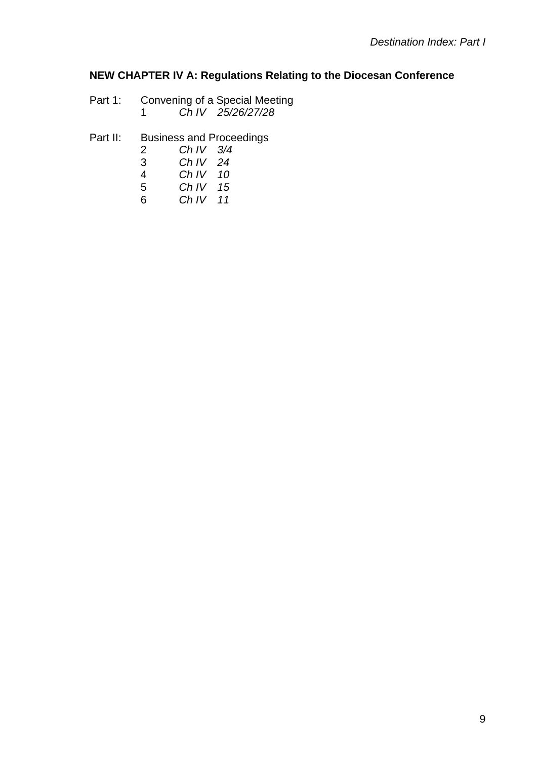#### **NEW CHAPTER IV A: Regulations Relating to the Diocesan Conference**

- Part 1: Convening of a Special Meeting *Ch IV 25/26/27/28*
- Part II: Business and Proceedings

| -2 | Ch IV $3/4$ |  |
|----|-------------|--|
| 3  | Ch IV $24$  |  |
| 4  | Ch IV $10$  |  |
| 5  | Ch IV $15$  |  |

 *Ch IV 11*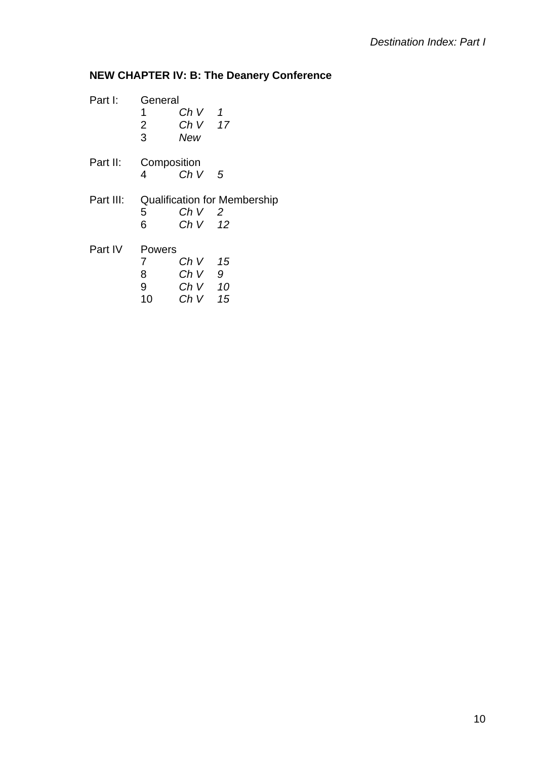# **NEW CHAPTER IV: B: The Deanery Conference**

| Part I:   | General      |          |                                     |  |  |
|-----------|--------------|----------|-------------------------------------|--|--|
|           | 1            | ChV 1    |                                     |  |  |
|           | $2^{\circ}$  | $ChV$ 17 |                                     |  |  |
|           | $\mathbf{3}$ | New      |                                     |  |  |
| Part II:  | Composition  |          |                                     |  |  |
|           | 4            | ChV 5    |                                     |  |  |
| Part III: |              |          | <b>Qualification for Membership</b> |  |  |
|           | 5            | Ch V 2   |                                     |  |  |
|           | 6            | Ch V 12  |                                     |  |  |
| Part IV   | Powers       |          |                                     |  |  |
|           | $7^{\circ}$  | Ch V 15  |                                     |  |  |
|           | 8            | ChV 9    |                                     |  |  |
|           | 9            | $ChV$ 10 |                                     |  |  |
|           | 10           | $ChV$ 15 |                                     |  |  |
|           |              |          |                                     |  |  |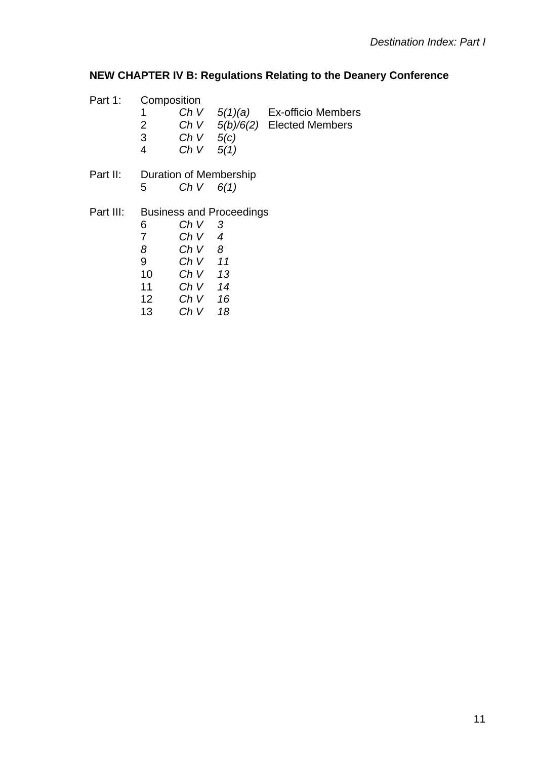# **NEW CHAPTER IV B: Regulations Relating to the Deanery Conference**

| Part 1:   |                 | Composition            |                                 |                                   |  |  |  |
|-----------|-----------------|------------------------|---------------------------------|-----------------------------------|--|--|--|
|           | 1               |                        |                                 | Ch V $5(1)(a)$ Ex-officio Members |  |  |  |
|           | 2               |                        |                                 | Ch V $5(b)/6(2)$ Elected Members  |  |  |  |
|           | 3               | Ch $V$ 5(c)            |                                 |                                   |  |  |  |
|           | 4               | Ch $V$ 5(1)            |                                 |                                   |  |  |  |
| Part II:  |                 | Duration of Membership |                                 |                                   |  |  |  |
|           | 5               | Ch V                   | 6(1)                            |                                   |  |  |  |
| Part III: |                 |                        | <b>Business and Proceedings</b> |                                   |  |  |  |
|           | 6               | Ch V                   | 3                               |                                   |  |  |  |
|           | 7               | ChV 4                  |                                 |                                   |  |  |  |
|           | 8               | ChV 8                  |                                 |                                   |  |  |  |
|           | 9               | $ChV$ 11               |                                 |                                   |  |  |  |
|           | 10              | Ch V                   | 13                              |                                   |  |  |  |
|           | 11              | $ChV$ 14               |                                 |                                   |  |  |  |
|           | 12 <sup>2</sup> | Ch V                   | 16                              |                                   |  |  |  |
|           | 13              | ChV                    | 18                              |                                   |  |  |  |
|           |                 |                        |                                 |                                   |  |  |  |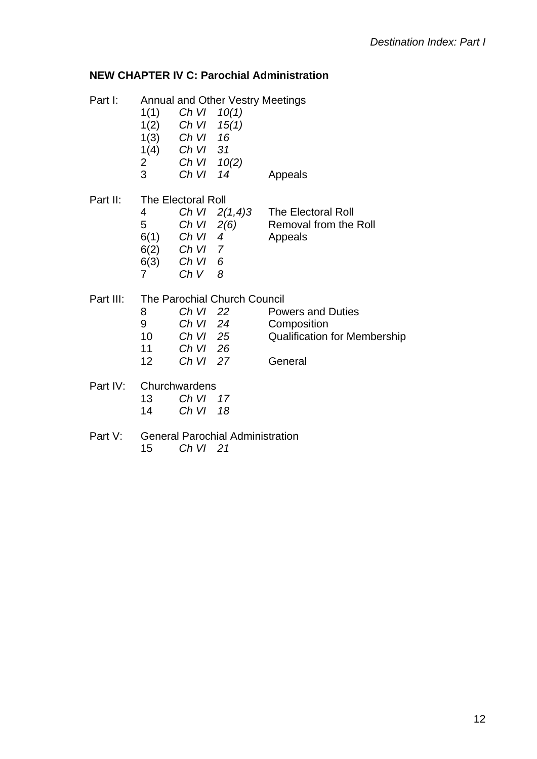### **NEW CHAPTER IV C: Parochial Administration**

| Part I:   |                 |                           | <b>Annual and Other Vestry Meetings</b> |                                     |
|-----------|-----------------|---------------------------|-----------------------------------------|-------------------------------------|
|           | 1(1)            | Ch VI $10(1)$             |                                         |                                     |
|           |                 | $1(2)$ Ch VI $15(1)$      |                                         |                                     |
|           |                 | $1(3)$ Ch VI              | 16                                      |                                     |
|           |                 | $1(4)$ Ch VI 31           |                                         |                                     |
|           |                 | Ch VI 10(2)               |                                         |                                     |
|           | $\frac{2}{3}$   | Ch VI                     | 14                                      | Appeals                             |
| Part II:  |                 | <b>The Electoral Roll</b> |                                         |                                     |
|           | 4               |                           | Ch VI $2(1,4)3$                         | <b>The Electoral Roll</b>           |
|           | 5               | Ch VI $2(6)$              |                                         | Removal from the Roll               |
|           | 6(1)            | Ch VI 4                   |                                         | Appeals                             |
|           |                 | $6(2)$ Ch VI 7            |                                         |                                     |
|           |                 | 6(3) Ch VI 6              |                                         |                                     |
|           | $\overline{7}$  | ChV 8                     |                                         |                                     |
| Part III: |                 |                           | The Parochial Church Council            |                                     |
|           | 8               | Ch VI 22                  |                                         | <b>Powers and Duties</b>            |
|           | 9               | Ch VI 24                  |                                         | Composition                         |
|           | 10              | Ch VI 25                  |                                         | <b>Qualification for Membership</b> |
|           | 11              | Ch VI 26                  |                                         |                                     |
|           | 12 <sub>2</sub> | Ch VI 27                  |                                         | General                             |
| Part IV:  |                 | Churchwardens             |                                         |                                     |
|           | 13              | Ch VI                     | 17                                      |                                     |
|           | 14              | Ch VI                     | 18                                      |                                     |
| Part V:   |                 |                           | <b>General Parochial Administration</b> |                                     |
|           | 15              | Ch VI 21                  |                                         |                                     |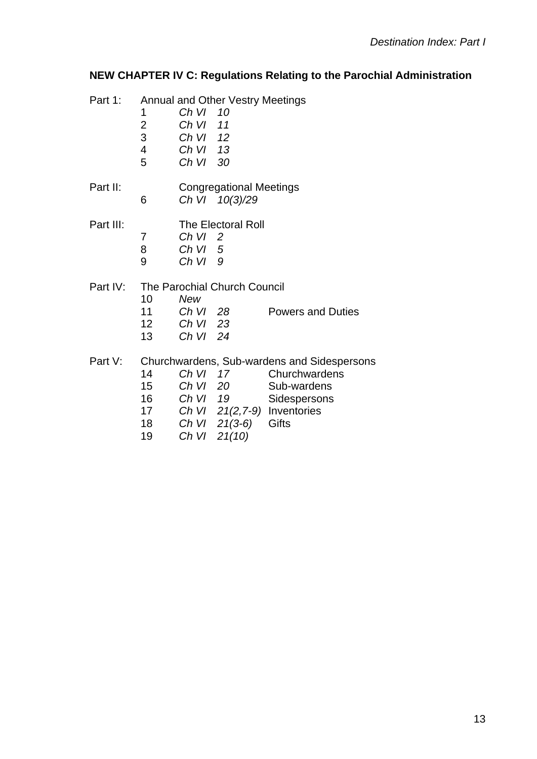# **NEW CHAPTER IV C: Regulations Relating to the Parochial Administration**

| Part 1:   | 1<br>$\overline{\mathbf{c}}$<br>3<br>$\overline{\mathbf{4}}$ | Ch VI<br>Ch VI<br>Ch VI 12<br>ChVI 13  | <b>Annual and Other Vestry Meetings</b><br>10<br>11                   |                                                                                                                                              |
|-----------|--------------------------------------------------------------|----------------------------------------|-----------------------------------------------------------------------|----------------------------------------------------------------------------------------------------------------------------------------------|
|           | 5                                                            | Ch VI 30                               |                                                                       |                                                                                                                                              |
| Part II:  | 6                                                            |                                        | <b>Congregational Meetings</b><br>Ch VI 10(3)/29                      |                                                                                                                                              |
| Part III: | 7<br>8<br>9                                                  | Ch VI<br>ChVI<br>Ch VI                 | <b>The Electoral Roll</b><br>$\overline{\phantom{0}}^2$<br>- 5<br>- 9 |                                                                                                                                              |
| Part IV:  | 10<br>11<br>12<br>13                                         | New<br>Ch VI 28<br>ChVI<br>Ch VI       | The Parochial Church Council<br>- 23<br>24                            | <b>Powers and Duties</b>                                                                                                                     |
| Part V:   | 14<br>15<br>16<br>17<br>18<br>19                             | Ch VI<br>Ch VI 20<br>Ch VI 19<br>Ch VI | 17<br>$Ch VI 21(3-6)$<br>21(10)                                       | Churchwardens, Sub-wardens and Sidespersons<br>Churchwardens<br>Sub-wardens<br>Sidespersons<br>Ch VI $21(2,7-9)$ Inventories<br><b>Gifts</b> |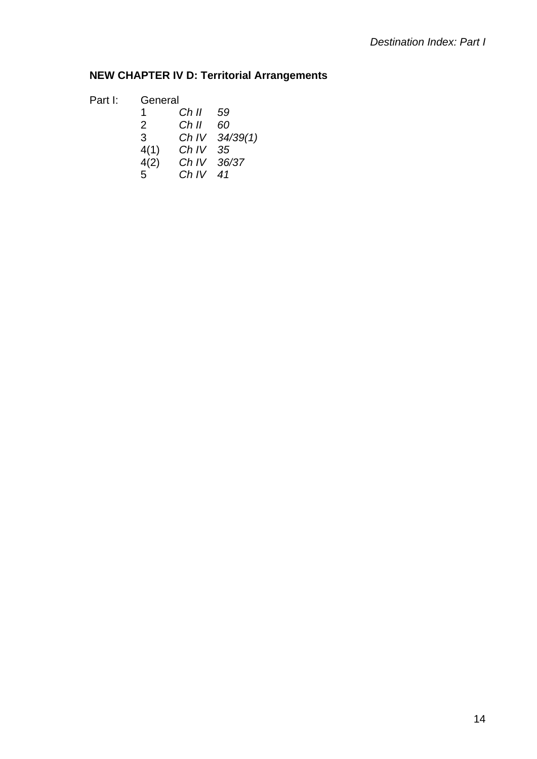# **NEW CHAPTER IV D: Territorial Arrangements**

| Part I: | General      |            |                |
|---------|--------------|------------|----------------|
|         | 1.           | Ch II 59   |                |
|         | 2            | Ch II      | -60            |
|         | $\mathbf{3}$ |            | Ch IV 34/39(1) |
|         | 4(1)         | Ch IV 35   |                |
|         | 4(2)         |            | Ch IV 36/37    |
|         | 5            | Ch IV $41$ |                |
|         |              |            |                |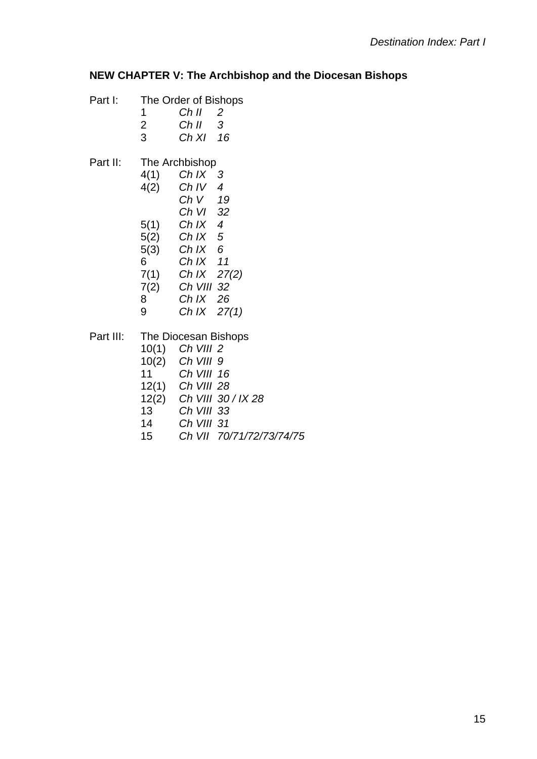#### **NEW CHAPTER V: The Archbishop and the Diocesan Bishops**

- Part I: The Order of Bishops
	- 1 *Ch II 2*
	- 2 *Ch II 3*
	- 3 *Ch XI 16*
- Part II: The Archbishop
	- 4(1) *Ch IX 3*  4(2) *Ch IV 4 Ch V 19 Ch VI 32*  5(1) *Ch IX 4*  5(2) *Ch IX 5*  5(3) *Ch IX 6* 6 *Ch IX 11* 7(1) *Ch IX 27(2)* 7(2) *Ch VIII 32* 8 *Ch IX 26* 9 *Ch IX 27(1)*

Part III: The Diocesan Bishops

- 10(1) *Ch VIII 2*
- 10(2) *Ch VIII 9*
- 11 *Ch VIII 16*
- 12(1) *Ch VIII 28*
- 12(2) *Ch VIII 30 / IX 28*
- 13 *Ch VIII 33*
- 14 *Ch VIII 31*
- 15 *Ch VII 70/71/72/73/74/75*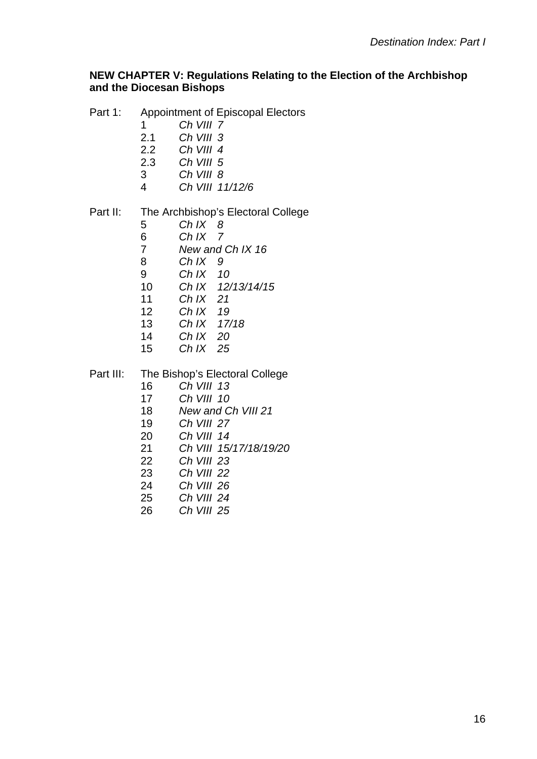#### **NEW CHAPTER V: Regulations Relating to the Election of the Archbishop and the Diocesan Bishops**

- Part 1: Appointment of Episcopal Electors
	- *Ch VIII 7*
	- 2.1 *Ch VIII 3*
	- 2.2 *Ch VIII 4*
	- 2.3 *Ch VIII 5*
	- *Ch VIII 8*
	- *Ch VIII 11/12/6*

#### Part II: The Archbishop's Electoral College

- *Ch IX 8*
- *Ch IX 7*
- *New and Ch IX 16*
- *Ch IX 9 Ch IX 10*
- *Ch IX 12/13/14/15*
- *Ch IX 21*
- *Ch IX 19*
- *Ch IX 17/18*
- *Ch IX 20*
- *Ch IX 25*

#### Part III: The Bishop's Electoral College

- *Ch VIII 13*
- *Ch VIII 10*
- *New and Ch VIII 21*
- *Ch VIII 27*
- *Ch VIII 14*
- *Ch VIII 15/17/18/19/20*
- *Ch VIII 23*
- *Ch VIII 22*
- *Ch VIII 26*
- *Ch VIII 24*
- *Ch VIII 25*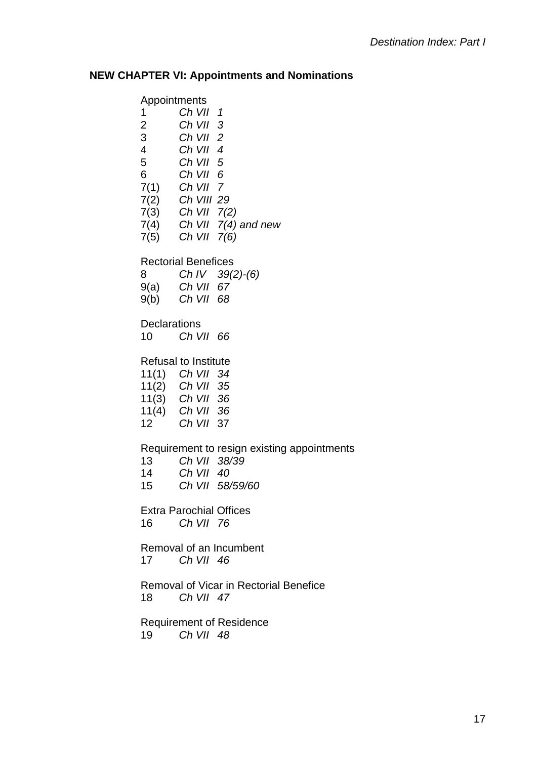# **NEW CHAPTER VI: Appointments and Nominations**

| Appointments                              |                                |                                                  |
|-------------------------------------------|--------------------------------|--------------------------------------------------|
| 1                                         | Ch VII 1                       |                                                  |
| $\overline{2}$                            | $Ch$ VII $3$                   |                                                  |
| $\overline{3}$                            | $Ch$ VII $2$                   |                                                  |
| $\overline{\mathbf{4}}$<br>5 <sub>5</sub> | $Ch$ VII 4<br>Ch VII 5         |                                                  |
|                                           | 6 Ch VII 6                     |                                                  |
|                                           | $7(1)$ Ch VII 7                |                                                  |
|                                           | 7(2) Ch VIII 29                |                                                  |
|                                           | $7(3)$ Ch VII $7(2)$           |                                                  |
|                                           |                                | $7(4)$ Ch VII $7(4)$ and new<br>7(5) Ch VII 7(6) |
|                                           |                                |                                                  |
|                                           | <b>Rectorial Benefices</b>     |                                                  |
| 8                                         |                                | Ch IV $39(2)-(6)$                                |
|                                           | $9(a)$ Ch VII 67               |                                                  |
|                                           | 9(b) Ch VII 68                 |                                                  |
| <b>Declarations</b>                       |                                |                                                  |
| 10                                        | Ch VII 66                      |                                                  |
|                                           | <b>Refusal to Institute</b>    |                                                  |
|                                           | 11(1) Ch VII 34                |                                                  |
|                                           | 11(2) Ch VII 35                |                                                  |
|                                           | $11(3)$ Ch VII 36              |                                                  |
|                                           | 11(4) Ch VII 36                |                                                  |
|                                           | 12 Ch VII 37                   |                                                  |
|                                           |                                | Requirement to resign existing appointments      |
| 13                                        | Ch VII 38/39                   |                                                  |
| 14                                        | Ch VII 40                      |                                                  |
| 15                                        |                                | Ch VII 58/59/60                                  |
|                                           | <b>Extra Parochial Offices</b> |                                                  |
|                                           | 16 Ch VII 76                   |                                                  |
|                                           |                                |                                                  |
| 17                                        | Ch VII 46                      | Removal of an Incumbent                          |
|                                           |                                |                                                  |
|                                           |                                | Removal of Vicar in Rectorial Benefice           |
|                                           | 18 Ch VII 47                   |                                                  |
|                                           |                                | <b>Requirement of Residence</b>                  |
| 19                                        | Ch VII 48                      |                                                  |
|                                           |                                |                                                  |
|                                           |                                |                                                  |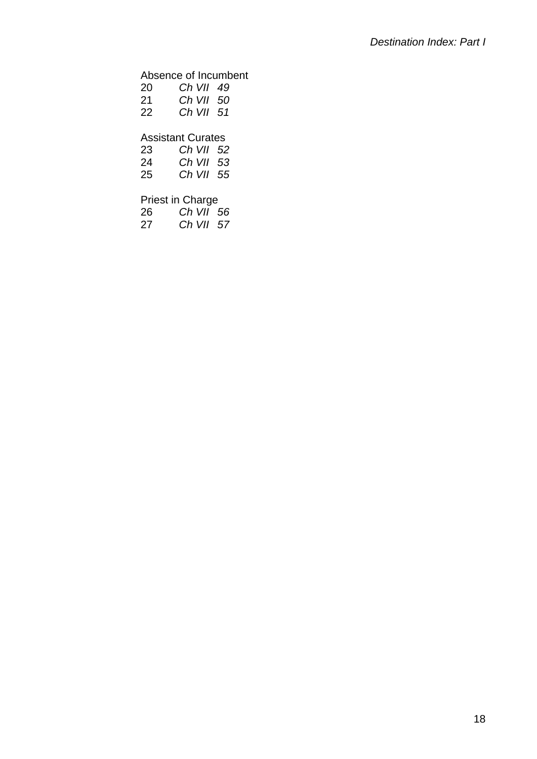#### Absence of Incumbent

| 20 | Ch VII 49                |
|----|--------------------------|
| 21 | Ch VII 50                |
| 22 | Ch VII 51                |
|    |                          |
|    | <b>Assistant Curates</b> |

#### *Ch VII 52*

| 24 | Ch VII 53 |  |
|----|-----------|--|
| 25 | Ch VII 55 |  |

# Priest in Charge

| 26 | Ch VII 56 |  |
|----|-----------|--|
|    |           |  |

| 27 |  | Ch VII 57 |  |
|----|--|-----------|--|
|----|--|-----------|--|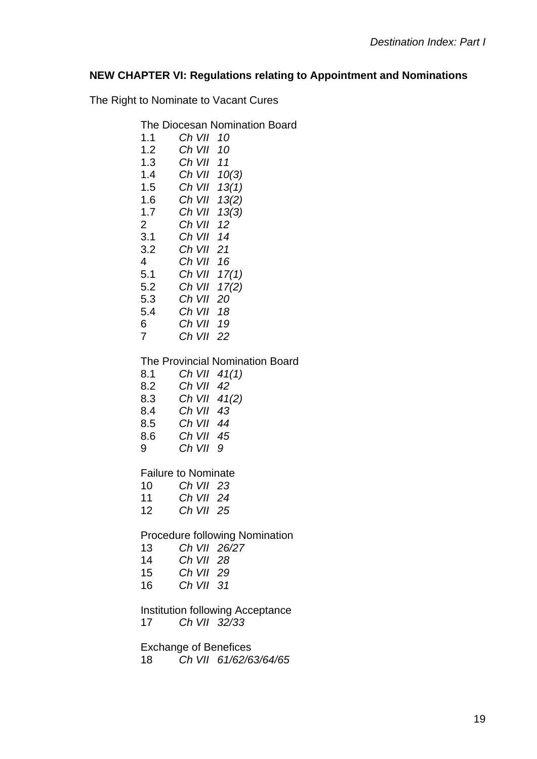#### **NEW CHAPTER VI: Regulations relating to Appointment and Nominations**

**Board** 

The Right to Nominate to Vacant Cures

| The Diocesan Nomination Board |  |
|-------------------------------|--|
|-------------------------------|--|

| 1.1             | Ch VII 10                  |                           |
|-----------------|----------------------------|---------------------------|
| 1.2             | Ch VII 10                  |                           |
| 1.3             | Ch VII 11                  |                           |
| 1.4             | Ch VII 10(3)               |                           |
| 1.5             | Ch VII 13(1)               |                           |
| $1.6\,$         | Ch VII $13(2)$             |                           |
| 1.7             | Ch VII 13(3)               |                           |
| $\overline{2}$  | Ch VII 12                  |                           |
| 3.1             | Ch VII 14                  |                           |
| 3.2             | Ch VII 21                  |                           |
| 4 <sup>1</sup>  | Ch VII 16                  |                           |
| 5.1             | Ch VII 17(1)               |                           |
| $5.2$           | Ch VII $17(2)$             |                           |
| 5.3             | Ch VII 20                  |                           |
| 5.4             | Ch VII 18                  |                           |
| 6               | Ch VII 19                  |                           |
| $\overline{7}$  | Ch VII 22                  |                           |
|                 |                            | The Provincial Nomination |
| 8.1             | Ch VII 41(1)               |                           |
| 8.2             | Ch VII 42                  |                           |
| 8.3             | Ch VII 41(2)               |                           |
| 8.4             | Ch VII 43                  |                           |
| 8.5             | Ch VII 44                  |                           |
| 8.6             | Ch VII 45                  |                           |
| 9               | Ch VII 9                   |                           |
|                 | <b>Failure to Nominate</b> |                           |
| 10 <sup>1</sup> | Ch VII 23                  |                           |
| 11              | Ch VII 24                  |                           |
| 12 <sub>2</sub> | Ch VII 25                  |                           |
|                 |                            |                           |

Procedure following Nomination

- 13 *Ch VII 26/27*
- 14 *Ch VII 28*
- 15 *Ch VII 29*
- 16 *Ch VII 31*

Institution following Acceptance

17 *Ch VII 32/33* 

Exchange of Benefices

18 *Ch VII 61/62/63/64/65*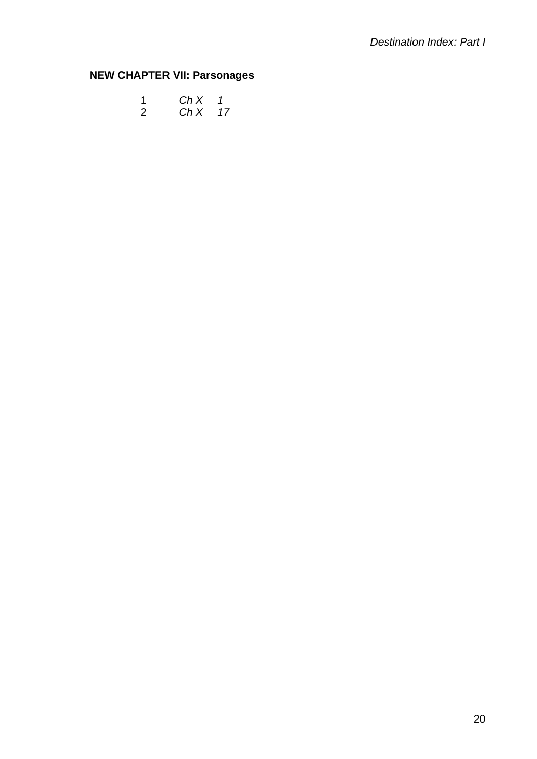### **NEW CHAPTER VII: Parsonages**

|  | $ChX$ 1  |  |
|--|----------|--|
|  | $ChX$ 17 |  |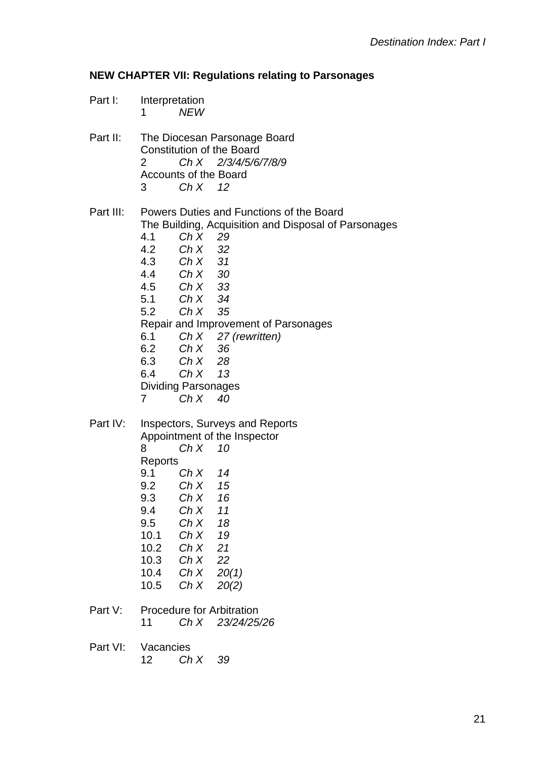#### **NEW CHAPTER VII: Regulations relating to Parsonages**

Part I: Interpretation 1 *NEW* 

Part II: The Diocesan Parsonage Board Constitution of the Board 2 *Ch X 2/3/4/5/6/7/8/9* Accounts of the Board 3 *Ch X 12*

Part III: Powers Duties and Functions of the Board The Building, Acquisition and Disposal of Parsonages 4.1 *Ch X 29* 4.2 *Ch X 32*  4.3 *Ch X 31*  4.4 *Ch X 30*  4.5 *Ch X 33*  5.1 *Ch X 34*  5.2 *Ch X 35*  Repair and Improvement of Parsonages 6.1 *Ch X 27 (rewritten)*  6.2 *Ch X 36*  6.3 *Ch X 28*  6.4 *Ch X 13*  Dividing Parsonages 7 *Ch X 40* 

Part IV: Inspectors, Surveys and Reports Appointment of the Inspector 8 *Ch X 10*  **Reports**  9.1 *Ch X 14*  9.2 *Ch X 15*  9.3 *Ch X 16*  9.4 *Ch X 11*  9.5 *Ch X 18*  10.1 *Ch X 19*  10.2 *Ch X 21* 

- 10.3 *Ch X 22*
- 10.4 *Ch X 20(1)*
- 10.5 *Ch X 20(2)*
- Part V: Procedure for Arbitration 11 *Ch X 23/24/25/26*
- Part VI: Vacancies 12 *Ch X 39*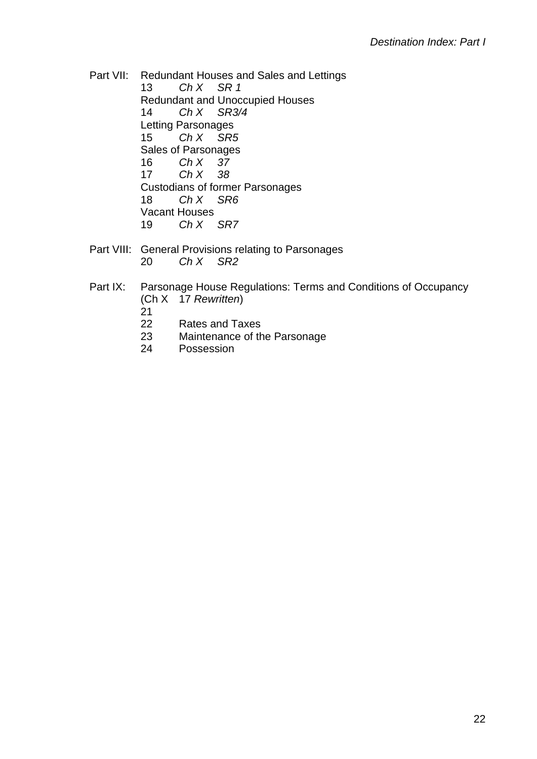Part VII: Redundant Houses and Sales and Lettings 13 *Ch X SR 1*  Redundant and Unoccupied Houses 14 *Ch X SR3/4*  Letting Parsonages 15 *Ch X SR5*  Sales of Parsonages 16 *Ch X 37*  17 *Ch X 38* Custodians of former Parsonages 18 *Ch X SR6*  Vacant Houses 19 *Ch X SR7* 

Part VIII: General Provisions relating to Parsonages 20 *Ch X SR2* 

### Part IX: Parsonage House Regulations: Terms and Conditions of Occupancy (Ch X 17 *Rewritten*)

- 21
- 22 Rates and Taxes
- 23 Maintenance of the Parsonage
- 24 Possession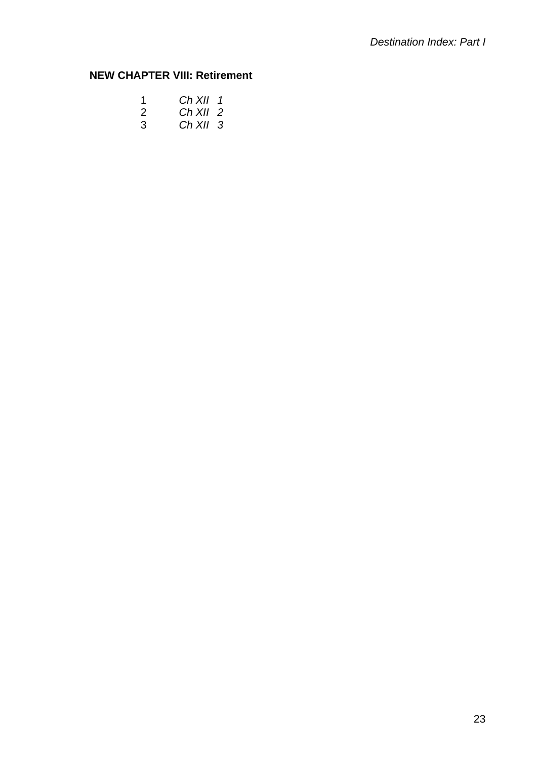## **NEW CHAPTER VIII: Retirement**

|   | $Ch$ XII 1 |  |
|---|------------|--|
| 2 | Ch XII 2   |  |
| 3 | $Ch$ XII 3 |  |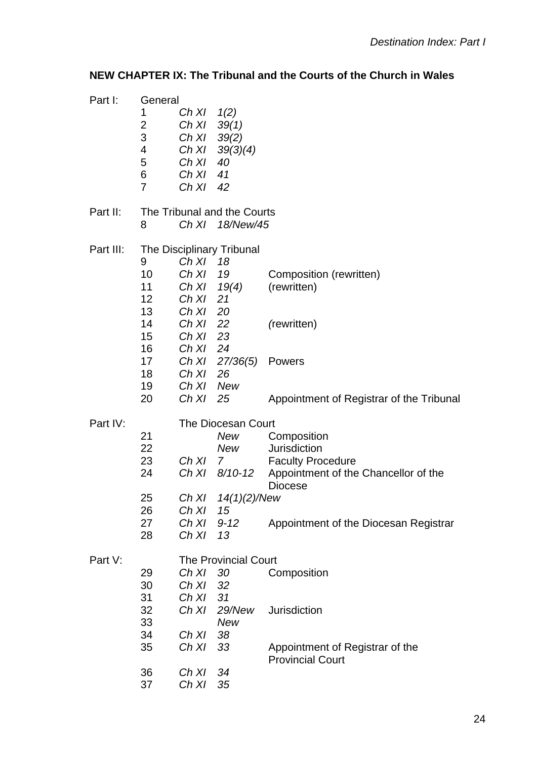### **NEW CHAPTER IX: The Tribunal and the Courts of the Church in Wales**

| Part I:   | General                     |                |                        |                                          |
|-----------|-----------------------------|----------------|------------------------|------------------------------------------|
|           | 1                           | $Ch X1 \t1(2)$ |                        |                                          |
|           | 2                           | Ch X1 39(1)    |                        |                                          |
|           | 3                           | Ch XI          | 39(2)                  |                                          |
|           | 4                           | Ch XI          |                        |                                          |
|           |                             |                | 39(3)(4)               |                                          |
|           | 5                           | Ch XI          | 40                     |                                          |
|           | 6                           | Ch XI 41       |                        |                                          |
|           | $\overline{7}$              | Ch XI          | 42                     |                                          |
| Part II:  | The Tribunal and the Courts |                |                        |                                          |
|           | 8                           |                | Ch XI 18/New/45        |                                          |
| Part III: | The Disciplinary Tribunal   |                |                        |                                          |
|           | 9                           | Ch X1 18       |                        |                                          |
|           | 10                          | Ch X1 19       |                        | Composition (rewritten)                  |
|           | 11                          | Ch X1 19(4)    |                        | (rewritten)                              |
|           | 12 <sub>2</sub>             | Ch XI 21       |                        |                                          |
|           | 13                          | Ch XI          | 20                     |                                          |
|           | 14                          |                |                        |                                          |
|           |                             | Ch XI          | 22                     | (rewritten)                              |
|           | 15                          | Ch X1 23       |                        |                                          |
|           | 16                          | Ch XI 24       |                        |                                          |
|           | 17                          |                | Ch XI 27/36(5)         | Powers                                   |
|           | 18                          | Ch X1 26       |                        |                                          |
|           | 19                          | Ch XI New      |                        |                                          |
|           | 20                          | Ch X1 25       |                        | Appointment of Registrar of the Tribunal |
| Part IV:  | The Diocesan Court          |                |                        |                                          |
|           | 21                          |                | New                    | Composition                              |
|           | 22                          |                | New                    | Jurisdiction                             |
|           | 23                          | Ch XI 7        |                        | <b>Faculty Procedure</b>                 |
|           | 24                          | Ch XI          | 8/10-12                | Appointment of the Chancellor of the     |
|           |                             |                |                        | <b>Diocese</b>                           |
|           | 25                          |                | Ch $X1 \t14(1)(2)/New$ |                                          |
|           | 26                          | Ch XI          | 15                     |                                          |
|           | 27                          | Ch XI          | $9 - 12$               | Appointment of the Diocesan Registrar    |
|           | 28                          | Ch XI          | 13                     |                                          |
| Part V:   | <b>The Provincial Court</b> |                |                        |                                          |
|           | 29                          | Ch XI          | 30                     | Composition                              |
|           | 30                          | Ch XI          | 32                     |                                          |
|           | 31                          | Ch XI          | 31                     |                                          |
|           | 32                          | Ch XI          | 29/New                 | Jurisdiction                             |
|           | 33                          |                | New                    |                                          |
|           | 34                          | Ch XI          | 38                     |                                          |
|           | 35                          | Ch XI          | 33                     | Appointment of Registrar of the          |
|           |                             |                |                        | <b>Provincial Court</b>                  |
|           | 36                          | Ch XI          | 34                     |                                          |
|           | 37                          | Ch XI          | 35                     |                                          |